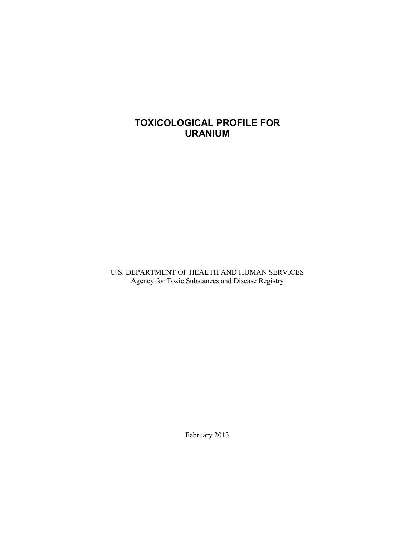# TOXICOLOGICAL PROFILE FOR<br>URANIUM

OF HEALTH AND HUMAN SERVICES for Toxic Substances and Disease Registry U.S. DEPARTMENT OF HEALTH AND HUMAN SERVICES<br>Agency for Toxic Substances and Disease Registry<br>February 2013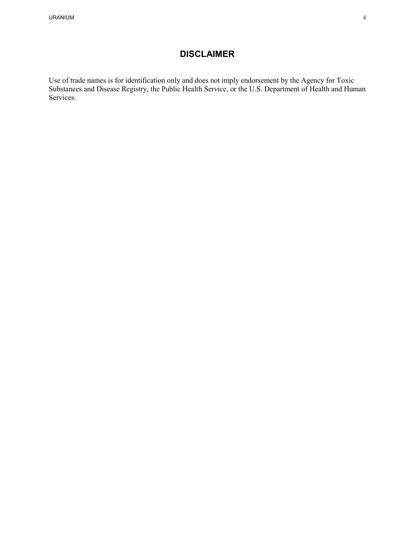# **DISCLAIMER**

<span id="page-1-0"></span>Use of trade names is for identification only and does not imply endorsement by the Agency for Toxic Substances and Disease Registry, the Public Health Service, or the U.S. Department of Health and Human Services.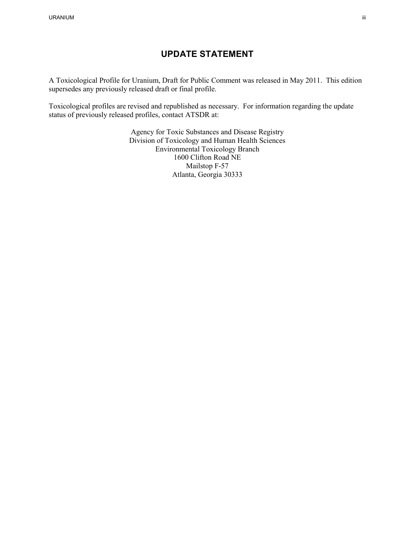# **UPDATE STATEMENT**

<span id="page-2-0"></span> A Toxicological Profile for Uranium, Draft for Public Comment was released in May 2011. This edition supersedes any previously released draft or final profile.

 Toxicological profiles are revised and republished as necessary. For information regarding the update status of previously released profiles, contact ATSDR at:

> Agency for Toxic Substances and Disease Registry<br>Division of Toxicology and Human Health Sciences Environmental Toxicology Branch<br>1600 Clifton Road NE<br>Mailstop F-57 1600 Clifton Road NE Atlanta, Georgia 30333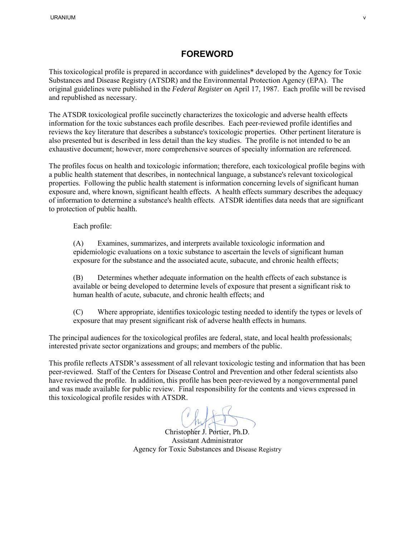## **FOREWORD**

 This toxicological profile is prepared in accordance with guidelines\* developed by the Agency for Toxic and republished as necessary. Substances and Disease Registry (ATSDR) and the Environmental Protection Agency (EPA). The original guidelines were published in the *Federal Register* on April 17, 1987. Each profile will be revised

 information for the toxic substances each profile describes. Each peer-reviewed profile identifies and reviews the key literature that describes a substance's toxicologic properties. Other pertinent literature is also presented but is described in less detail than the key studies. The profile is not intended to be an The ATSDR toxicological profile succinctly characterizes the toxicologic and adverse health effects exhaustive document; however, more comprehensive sources of specialty information are referenced.

<span id="page-4-0"></span> a public health statement that describes, in nontechnical language, a substance's relevant toxicological exposure and, where known, significant health effects. A health effects summary describes the adequacy of information to determine a substance's health effects. ATSDR identifies data needs that are significant FOREWORD<br>
FOREWORD<br>
FOREWORD<br>
This toxocological profile is prepared in accordance with pundelines" developed by the Agency for Toxic<br>
Solvisioners and Doseau Registry (ATSDR), and the Environmental Proteion agency (IPA). The profiles focus on health and toxicologic information; therefore, each toxicological profile begins with properties. Following the public health statement is information concerning levels of significant human to protection of public health.

Each profile:

 epidemiologic evaluations on a toxic substance to ascertain the levels of significant human (A) Examines, summarizes, and interprets available toxicologic information and exposure for the substance and the associated acute, subacute, and chronic health effects;

 (B) Determines whether adequate information on the health effects of each substance is available or being developed to determine levels of exposure that present a significant risk to human health of acute, subacute, and chronic health effects; and

 exposure that may present significant risk of adverse health effects in humans. (C) Where appropriate, identifies toxicologic testing needed to identify the types or levels of

 The principal audiences for the toxicological profiles are federal, state, and local health professionals; interested private sector organizations and groups; and members of the public.

 This profile reflects ATSDR's assessment of all relevant toxicologic testing and information that has been peer-reviewed. Staff of the Centers for Disease Control and Prevention and other federal scientists also have reviewed the profile. In addition, this profile has been peer-reviewed by a nongovernmental panel and was made available for public review. Final responsibility for the contents and views expressed in this toxicological profile resides with ATSDR.

**Assistant Administrator** Assistant Administrator<br>Agency for Toxic Substances and Disease Registry Christopher J. Portier, Ph.D.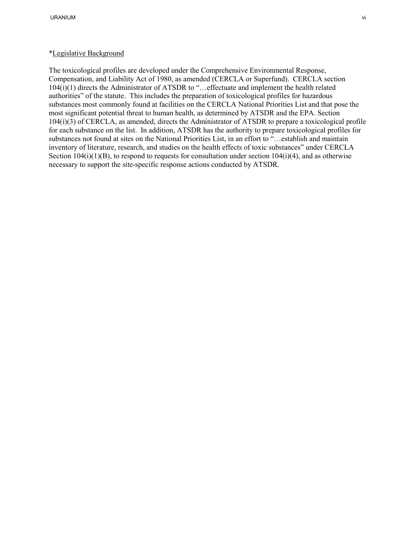#### \*Legislative Background

 authorities" of the statute. This includes the preparation of toxicological profiles for hazardous substances most commonly found at facilities on the CERCLA National Priorities List and that pose the Section  $104(i)(1)(B)$ , to respond to requests for consultation under section  $104(i)(4)$ , and as otherwise 104(i)(3) of CERCLA, as amended, directs the Administrator of ATSDR to prepare a toxicological profile The toxicological profiles are developed under the Comprehensive Environmental Response, Compensation, and Liability Act of 1980, as amended (CERCLA or Superfund). CERCLA section 104(i)(1) directs the Administrator of ATSDR to "…effectuate and implement the health related most significant potential threat to human health, as determined by ATSDR and the EPA. Section for each substance on the list. In addition, ATSDR has the authority to prepare toxicological profiles for substances not found at sites on the National Priorities List, in an effort to "…establish and maintain inventory of literature, research, and studies on the health effects of toxic substances" under CERCLA necessary to support the site-specific response actions conducted by ATSDR.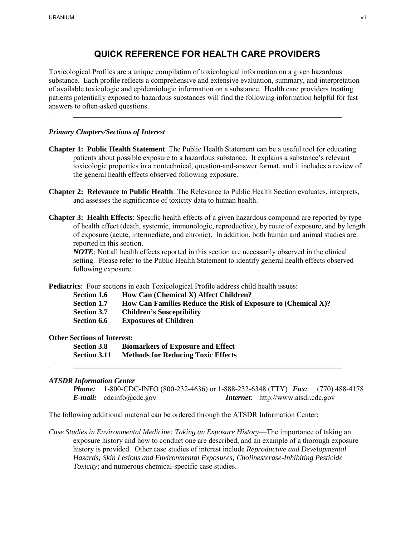## **QUICK REFERENCE FOR HEALTH CARE PROVIDERS**

<span id="page-6-0"></span> substance. Each profile reflects a comprehensive and extensive evaluation, summary, and interpretation of available toxicologic and epidemiologic information on a substance. Health care providers treating Toxicological Profiles are a unique compilation of toxicological information on a given hazardous patients potentially exposed to hazardous substances will find the following information helpful for fast answers to often-asked questions.

#### *Primary Chapters/Sections of Interest*

- **Chapter 1: Public Health Statement**: The Public Health Statement can be a useful tool for educating toxicologic properties in a nontechnical, question-and-answer format, and it includes a review of the general health effects observed following exposure. patients about possible exposure to a hazardous substance. It explains a substance's relevant
- **Chapter 2: Relevance to Public Health**: The Relevance to Public Health Section evaluates, interprets, and assesses the significance of toxicity data to human health.
- of exposure (acute, intermediate, and chronic). In addition, both human and animal studies are reported in this section. **Chapter 3: Health Effects**: Specific health effects of a given hazardous compound are reported by type of health effect (death, systemic, immunologic, reproductive), by route of exposure, and by length

 *NOTE*: Not all health effects reported in this section are necessarily observed in the clinical setting. Please refer to the Public Health Statement to identify general health effects observed following exposure.

**Pediatrics**: Four sections in each Toxicological Profile address child health issues:

- Section 1.6 **How Can (Chemical X) Affect Children?**
- **Section 1.7 How Can Families Reduce the Risk of Exposure to (Chemical X)?**
- **Section 3.7 Children's Susceptibility**
- **Section 6.6 Exposures of Children**

#### **Other Sections of Interest:**

**Section 3.11 Section 3.8 Biomarkers of Exposure and Effect Methods for Reducing Toxic Effects** 

#### *ATSDR Information Center*

```
 
Phone: 1-800-CDC-INFO (800-232-4636) or 1-888-232-6348 (TTY) Fax: (770) 488-4178 
E-mail: cdcinfo@cdc.gov
                                            Internet: http://www.atsdr.cdc.gov
```
The following additional material can be ordered through the ATSDR Information Center:

 *Case Studies in Environmental Medicine: Taking an Exposure History*—The importance of taking an history is provided. Other case studies of interest include *Reproductive and Developmental*  exposure history and how to conduct one are described, and an example of a thorough exposure *Hazards; Skin Lesions and Environmental Exposures; Cholinesterase-Inhibiting Pesticide Toxicity*; and numerous chemical-specific case studies.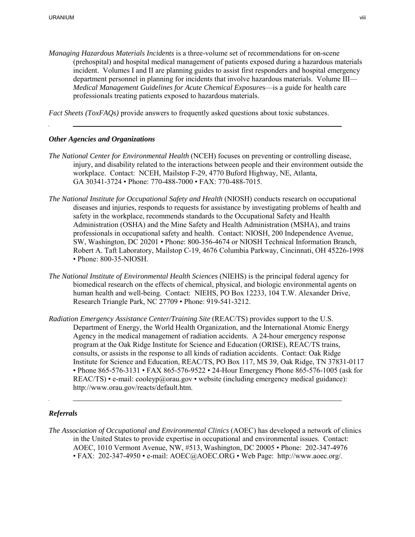*Managing Hazardous Materials Incidents* is a three-volume set of recommendations for on-scene (prehospital) and hospital medical management of patients exposed during a hazardous materials incident. Volumes I and II are planning guides to assist first responders and hospital emergency *Medical Management Guidelines for Acute Chemical Exposure*s—is a guide for health care department personnel in planning for incidents that involve hazardous materials. Volume III professionals treating patients exposed to hazardous materials.

*Fact Sheets (ToxFAQs)* provide answers to frequently asked questions about toxic substances.

#### *Other Agencies and Organizations*

- injury, and disability related to the interactions between people and their environment outside the *The National Center for Environmental Health* (NCEH) focuses on preventing or controlling disease, workplace. Contact: NCEH, Mailstop F-29, 4770 Buford Highway, NE, Atlanta, GA 30341-3724 • Phone: 770-488-7000 • FAX: 770-488-7015.
- *The National Institute for Occupational Safety and Health* (NIOSH) conducts research on occupational diseases and injuries, responds to requests for assistance by investigating problems of health and safety in the workplace, recommends standards to the Occupational Safety and Health Administration (OSHA) and the Mine Safety and Health Administration (MSHA), and trains professionals in occupational safety and health. Contact: NIOSH, 200 Independence Avenue, SW, Washington, DC 20201 • Phone: 800-356-4674 or NIOSH Technical Information Branch, Robert A. Taft Laboratory, Mailstop C-19, 4676 Columbia Parkway, Cincinnati, OH 45226-1998 • Phone: 800-35-NIOSH.
- biomedical research on the effects of chemical, physical, and biologic environmental agents on *The National Institute of Environmental Health Sciences* (NIEHS) is the principal federal agency for human health and well-being. Contact: NIEHS, PO Box 12233, 104 T.W. Alexander Drive, Research Triangle Park, NC 27709 • Phone: 919-541-3212.
- *Radiation Emergency Assistance Center/Training Site* (REAC/TS) provides support to the U.S. Agency in the medical management of radiation accidents. A 24-hour emergency response program at the Oak Ridge Institute for Science and Education (ORISE), REAC/TS trains, consults, or assists in the response to all kinds of radiation accidents. Contact: Oak Ridge REAC/TS) • e-mail: [cooleyp@orau.gov](mailto:cooleyp@orau.gov) • website (including emergency medical guidance): Department of Energy, the World Health Organization, and the International Atomic Energy Institute for Science and Education, REAC/TS, PO Box 117, MS 39, Oak Ridge, TN 37831-0117 • Phone 865-576-3131 • FAX 865-576-9522 • 24-Hour Emergency Phone 865-576-1005 (ask for [http://www.orau.gov/reacts/default.htm.](http://www.orau.gov/reacts/default.htm)

#### *Referrals*

 *The Association of Occupational and Environmental Clinics* (AOEC) has developed a network of clinics in the United States to provide expertise in occupational and environmental issues. Contact: in the United States to provide expertise in occupational and environmental issues. Contact: AOEC, 1010 Vermont Avenue, NW, #513, Washington, DC 20005 • Phone: 202-347-4976 • FAX: 202-347-4950 • e-mail: AOEC@AOEC.ORG • Web Page: http://www.aoec.org/.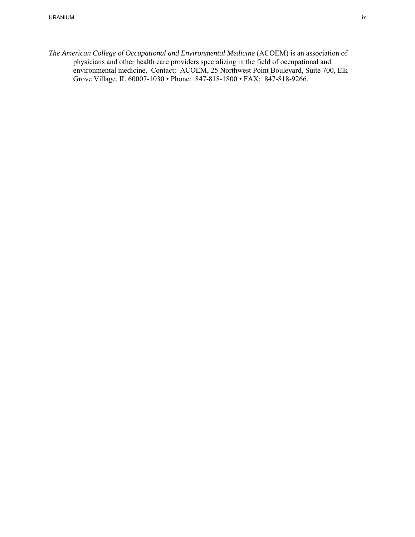*The American College of Occupational and Environmental Medicine* (ACOEM) is an association of physicians and other health care providers specializing in the field of occupational and environmental medicine. Contact: ACOEM, 25 Northwest Point Boulevard, Suite 700, Elk Grove Village, IL 60007-1030 • Phone: 847-818-1800 • FAX: 847-818-9266.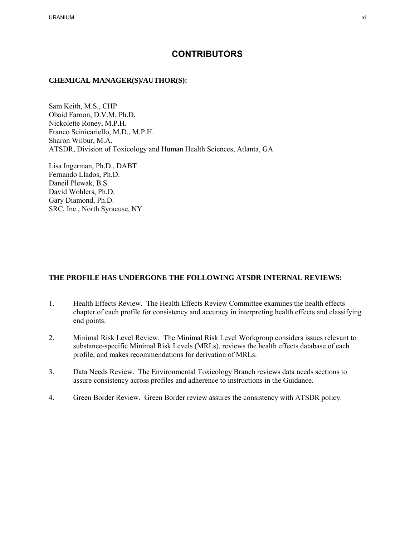### **CONTRIBUTORS**

#### <span id="page-10-0"></span>**CHEMICAL MANAGER(S)/AUTHOR(S):**

Keith, M.S., CHP Nickolette Roney, M.P.H. Franco Scinicariello, M.D., M.P.H. Sharon Wilbur, M.A. Obaid Faroon, D.V.M, Ph.D. Nickolette Roney, M.P.H.<br>Franco Scinicariello, M.D., M.P.H.<br>Sharon Wilbur, M.A.<br>ATSDR, Division of Toxicology and Human Health Sciences, Atlanta, GA<br>Lisa Ingerman, Ph.D., DABT<br>Fernando Llados, Ph.D.<br>Daneil Plewak, B.S.<br>Dav

Plewak, B.S. SRC, Inc., North Syracuse, NYLisa Ingerman, Ph.D., DABT Fernando Llados, Ph.D. David Wohlers, Ph.D.

#### **THE PROFILE HAS UNDERGONE THE FOLLOWING ATSDR INTERNAL REVIEWS:**

- 1. Health Effects Review. The Health Effects Review Committee examines the health effects chapter of each profile for consistency and accuracy in interpreting health effects and classifying end points.
- 2. Minimal Risk Level Review. The Minimal Risk Level Workgroup considers issues relevant to substance-specific Minimal Risk Levels (MRLs), reviews the health effects database of each profile, and makes recommendations for derivation of MRLs.
- 3. Data Needs Review. The Environmental Toxicology Branch reviews data needs sections to assure consistency across profiles and adherence to instructions in the Guidance.
- 4. Green Border Review. Green Border review assures the consistency with ATSDR policy.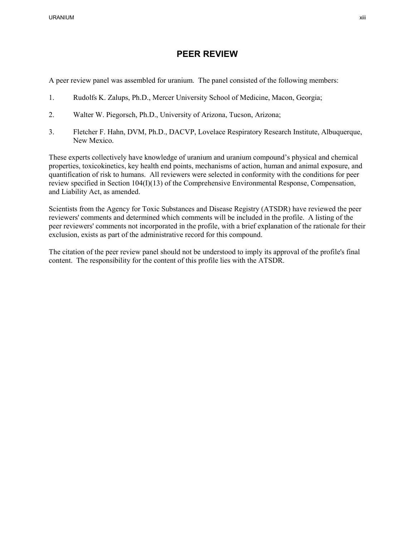## **PEER REVIEW**

<span id="page-12-0"></span>A peer review panel was assembled for uranium. The panel consisted of the following members:

- 1. Rudolfs K. Zalups, Ph.D., Mercer University School of Medicine, Macon, Georgia;
- 2. Walter W. Piegorsch, Ph.D., University of Arizona, Tucson, Arizona;
- 3. Fletcher F. Hahn, DVM, Ph.D., DACVP, Lovelace Respiratory Research Institute, Albuquerque, New Mexico.

 These experts collectively have knowledge of uranium and uranium compound's physical and chemical quantification of risk to humans. All reviewers were selected in conformity with the conditions for peer properties, toxicokinetics, key health end points, mechanisms of action, human and animal exposure, and review specified in Section 104(I)(13) of the Comprehensive Environmental Response, Compensation, and Liability Act, as amended.

 Scientists from the Agency for Toxic Substances and Disease Registry (ATSDR) have reviewed the peer reviewers' comments and determined which comments will be included in the profile. A listing of the peer reviewers' comments not incorporated in the profile, with a brief explanation of the rationale for their exclusion, exists as part of the administrative record for this compound.

 content. The responsibility for the content of this profile lies with the ATSDR. The citation of the peer review panel should not be understood to imply its approval of the profile's final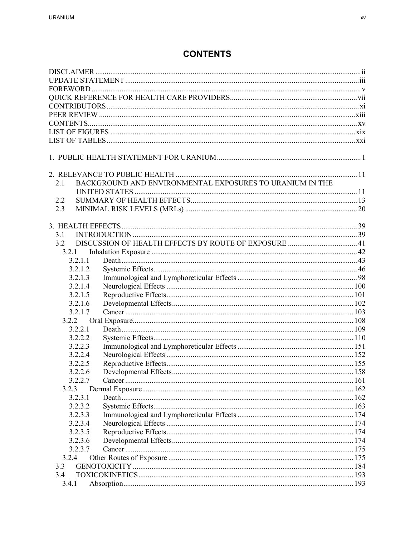# **CONTENTS**

| 2.1     | BACKGROUND AND ENVIRONMENTAL EXPOSURES TO URANIUM IN THE |  |
|---------|----------------------------------------------------------|--|
|         |                                                          |  |
| 2.2     |                                                          |  |
| 2.3     |                                                          |  |
|         |                                                          |  |
|         |                                                          |  |
| 3.1     |                                                          |  |
| 3.2     |                                                          |  |
| 3.2.1   |                                                          |  |
| 3.2.1.1 |                                                          |  |
| 3.2.1.2 |                                                          |  |
| 3.2.1.3 |                                                          |  |
| 3.2.1.4 |                                                          |  |
| 3.2.1.5 |                                                          |  |
| 3.2.1.6 |                                                          |  |
| 3.2.1.7 |                                                          |  |
| 3.2.2   |                                                          |  |
| 3.2.2.1 |                                                          |  |
| 3.2.2.2 |                                                          |  |
| 3.2.2.3 |                                                          |  |
| 3.2.2.4 |                                                          |  |
| 3.2.2.5 |                                                          |  |
| 3.2.2.6 |                                                          |  |
| 3.2.2.7 |                                                          |  |
| 3.2.3   |                                                          |  |
| 3.2.3.1 |                                                          |  |
| 3.2.3.2 |                                                          |  |
| 3.2.3.3 |                                                          |  |
| 3.2.3.4 |                                                          |  |
| 3.2.3.5 |                                                          |  |
| 3.2.3.6 |                                                          |  |
| 3.2.3.7 |                                                          |  |
| 3.2.4   |                                                          |  |
| 3.3     |                                                          |  |
| 3.4     |                                                          |  |
| 3.4.1   |                                                          |  |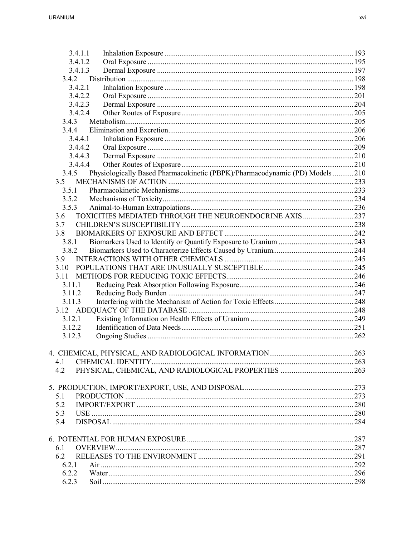| 3.4.1.1 |                                                                              |  |
|---------|------------------------------------------------------------------------------|--|
| 3.4.1.2 |                                                                              |  |
| 3.4.1.3 |                                                                              |  |
| 3.4.2   |                                                                              |  |
| 3.4.2.1 |                                                                              |  |
| 3.4.2.2 |                                                                              |  |
| 3.4.2.3 |                                                                              |  |
| 3.4.2.4 |                                                                              |  |
| 3.4.3   |                                                                              |  |
| 3.4.4   |                                                                              |  |
| 3.4.4.1 |                                                                              |  |
| 3.4.4.2 |                                                                              |  |
| 3.4.4.3 |                                                                              |  |
| 3.4.4.4 |                                                                              |  |
| 3.4.5   | Physiologically Based Pharmacokinetic (PBPK)/Pharmacodynamic (PD) Models 210 |  |
| 3.5     |                                                                              |  |
| 3.5.1   |                                                                              |  |
| 3.5.2   |                                                                              |  |
| 3.5.3   |                                                                              |  |
| 3.6     | TOXICITIES MEDIATED THROUGH THE NEUROENDOCRINE AXIS 237                      |  |
| 3.7     |                                                                              |  |
| 3.8     |                                                                              |  |
| 3.8.1   |                                                                              |  |
| 3.8.2   |                                                                              |  |
| 3.9     |                                                                              |  |
|         |                                                                              |  |
| 3.11    |                                                                              |  |
| 3.11.1  |                                                                              |  |
| 3.11.2  |                                                                              |  |
| 3.11.3  |                                                                              |  |
|         |                                                                              |  |
| 3.12.1  |                                                                              |  |
| 3.12.2  |                                                                              |  |
| 3.12.3  |                                                                              |  |
|         |                                                                              |  |
|         |                                                                              |  |
| 4.1     |                                                                              |  |
| 4.2     |                                                                              |  |
|         |                                                                              |  |
|         |                                                                              |  |
| 5.1     |                                                                              |  |
| 5.2     |                                                                              |  |
| 5.3     |                                                                              |  |
| 5.4     |                                                                              |  |
|         |                                                                              |  |
|         |                                                                              |  |
| 6.1     |                                                                              |  |
| 6.2     |                                                                              |  |
| 6.2.1   |                                                                              |  |
| 6.2.2   |                                                                              |  |
| 6.2.3   |                                                                              |  |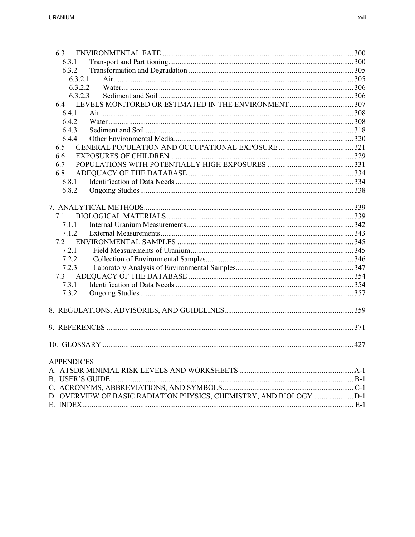| 6.3               |  |
|-------------------|--|
| 6.3.1             |  |
| 6.3.2             |  |
| 6.3.2.1           |  |
| 6.3.2.2           |  |
| 6.3.2.3           |  |
|                   |  |
| 6.4.1             |  |
| 6.4.2             |  |
| 6.4.3             |  |
| 6.4.4             |  |
| 6.5               |  |
| 6.6               |  |
| 6.7               |  |
| 6.8               |  |
| 6.8.1             |  |
| 6.8.2             |  |
|                   |  |
| 71                |  |
| 7.1.1             |  |
| 7.1.2             |  |
| 7.2               |  |
| 7.2.1             |  |
| 7.2.2             |  |
| 7.2.3             |  |
| 7.3               |  |
| 7.3.1             |  |
| 7.3.2             |  |
|                   |  |
|                   |  |
|                   |  |
| <b>APPENDICES</b> |  |
|                   |  |
|                   |  |
|                   |  |
|                   |  |
|                   |  |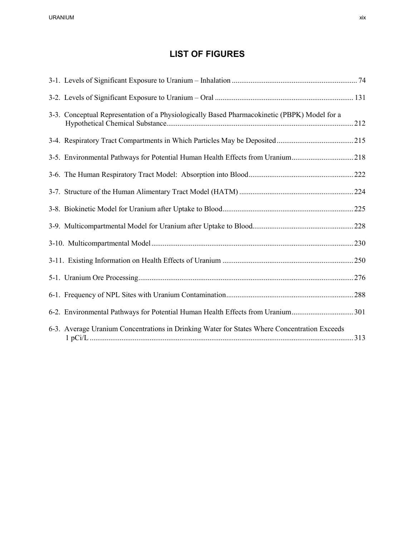## **LIST OF FIGURES**

<span id="page-18-0"></span>

| 3-3. Conceptual Representation of a Physiologically Based Pharmacokinetic (PBPK) Model for a |  |
|----------------------------------------------------------------------------------------------|--|
|                                                                                              |  |
| 3-5. Environmental Pathways for Potential Human Health Effects from Uranium218               |  |
|                                                                                              |  |
|                                                                                              |  |
|                                                                                              |  |
|                                                                                              |  |
|                                                                                              |  |
|                                                                                              |  |
|                                                                                              |  |
|                                                                                              |  |
| 6-2. Environmental Pathways for Potential Human Health Effects from Uranium301               |  |
| 6-3. Average Uranium Concentrations in Drinking Water for States Where Concentration Exceeds |  |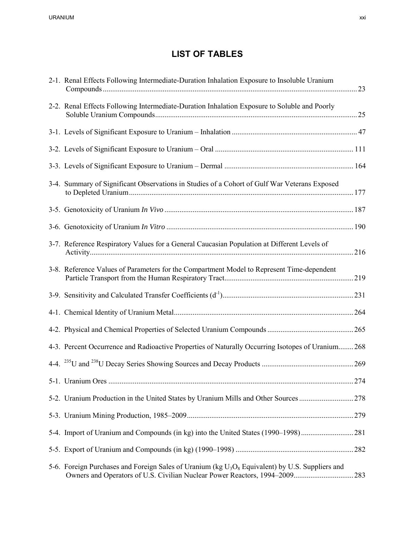# **LIST OF TABLES**

| 2-1. Renal Effects Following Intermediate-Duration Inhalation Exposure to Insoluble Uranium                                                                                                        |     |
|----------------------------------------------------------------------------------------------------------------------------------------------------------------------------------------------------|-----|
| 2-2. Renal Effects Following Intermediate-Duration Inhalation Exposure to Soluble and Poorly                                                                                                       |     |
|                                                                                                                                                                                                    |     |
|                                                                                                                                                                                                    |     |
|                                                                                                                                                                                                    |     |
| 3-4. Summary of Significant Observations in Studies of a Cohort of Gulf War Veterans Exposed                                                                                                       |     |
|                                                                                                                                                                                                    |     |
|                                                                                                                                                                                                    |     |
| 3-7. Reference Respiratory Values for a General Caucasian Population at Different Levels of                                                                                                        |     |
| 3-8. Reference Values of Parameters for the Compartment Model to Represent Time-dependent                                                                                                          |     |
|                                                                                                                                                                                                    |     |
|                                                                                                                                                                                                    |     |
|                                                                                                                                                                                                    |     |
| 4-3. Percent Occurrence and Radioactive Properties of Naturally Occurring Isotopes of Uranium 268                                                                                                  |     |
|                                                                                                                                                                                                    |     |
|                                                                                                                                                                                                    |     |
|                                                                                                                                                                                                    |     |
|                                                                                                                                                                                                    |     |
| 5-4. Import of Uranium and Compounds (in kg) into the United States (1990–1998)281                                                                                                                 |     |
|                                                                                                                                                                                                    |     |
| 5-6. Foreign Purchases and Foreign Sales of Uranium (kg U <sub>3</sub> O <sub>8</sub> Equivalent) by U.S. Suppliers and<br>Owners and Operators of U.S. Civilian Nuclear Power Reactors, 1994–2009 | 283 |